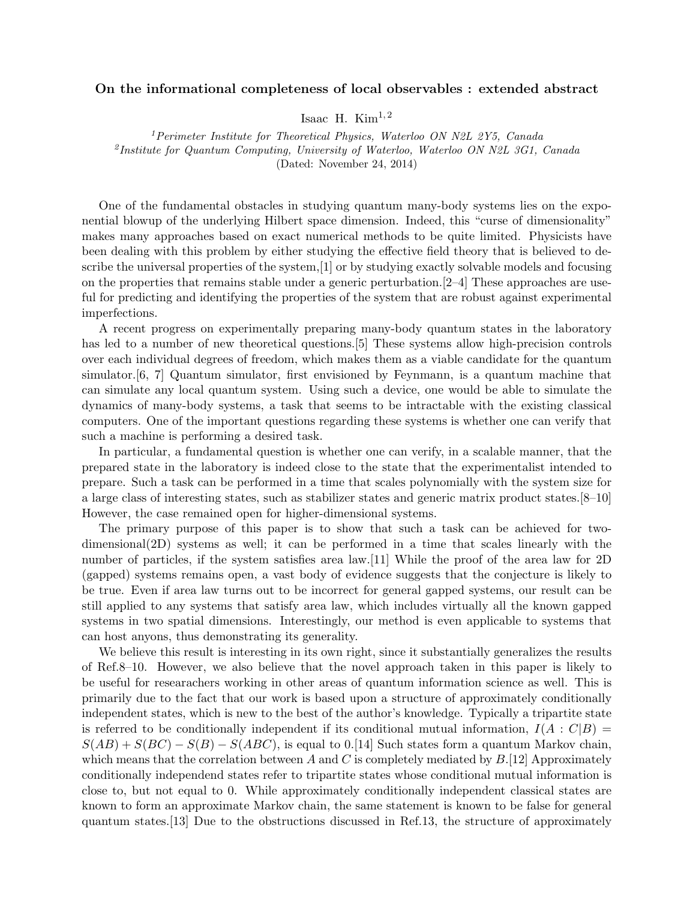## On the informational completeness of local observables : extended abstract

Isaac H. Kim<sup>1,2</sup>

<sup>1</sup>Perimeter Institute for Theoretical Physics, Waterloo ON N2L 2Y5, Canada <sup>2</sup>Institute for Quantum Computing, University of Waterloo, Waterloo ON N2L 3G1, Canada (Dated: November 24, 2014)

One of the fundamental obstacles in studying quantum many-body systems lies on the exponential blowup of the underlying Hilbert space dimension. Indeed, this "curse of dimensionality" makes many approaches based on exact numerical methods to be quite limited. Physicists have been dealing with this problem by either studying the effective field theory that is believed to describe the universal properties of the system,[1] or by studying exactly solvable models and focusing on the properties that remains stable under a generic perturbation.[2–4] These approaches are useful for predicting and identifying the properties of the system that are robust against experimental imperfections.

A recent progress on experimentally preparing many-body quantum states in the laboratory has led to a number of new theoretical questions.<sup>[5]</sup> These systems allow high-precision controls over each individual degrees of freedom, which makes them as a viable candidate for the quantum simulator.[6, 7] Quantum simulator, first envisioned by Feynmann, is a quantum machine that can simulate any local quantum system. Using such a device, one would be able to simulate the dynamics of many-body systems, a task that seems to be intractable with the existing classical computers. One of the important questions regarding these systems is whether one can verify that such a machine is performing a desired task.

In particular, a fundamental question is whether one can verify, in a scalable manner, that the prepared state in the laboratory is indeed close to the state that the experimentalist intended to prepare. Such a task can be performed in a time that scales polynomially with the system size for a large class of interesting states, such as stabilizer states and generic matrix product states.[8–10] However, the case remained open for higher-dimensional systems.

The primary purpose of this paper is to show that such a task can be achieved for twodimensional(2D) systems as well; it can be performed in a time that scales linearly with the number of particles, if the system satisfies area law.[11] While the proof of the area law for 2D (gapped) systems remains open, a vast body of evidence suggests that the conjecture is likely to be true. Even if area law turns out to be incorrect for general gapped systems, our result can be still applied to any systems that satisfy area law, which includes virtually all the known gapped systems in two spatial dimensions. Interestingly, our method is even applicable to systems that can host anyons, thus demonstrating its generality.

We believe this result is interesting in its own right, since it substantially generalizes the results of Ref.8–10. However, we also believe that the novel approach taken in this paper is likely to be useful for researachers working in other areas of quantum information science as well. This is primarily due to the fact that our work is based upon a structure of approximately conditionally independent states, which is new to the best of the author's knowledge. Typically a tripartite state is referred to be conditionally independent if its conditional mutual information,  $I(A : C|B) =$  $S(AB) + S(BC) - S(B) - S(ABC)$ , is equal to 0.[14] Such states form a quantum Markov chain, which means that the correlation between A and C is completely mediated by  $B$ .[12] Approximately conditionally independend states refer to tripartite states whose conditional mutual information is close to, but not equal to 0. While approximately conditionally independent classical states are known to form an approximate Markov chain, the same statement is known to be false for general quantum states.[13] Due to the obstructions discussed in Ref.13, the structure of approximately